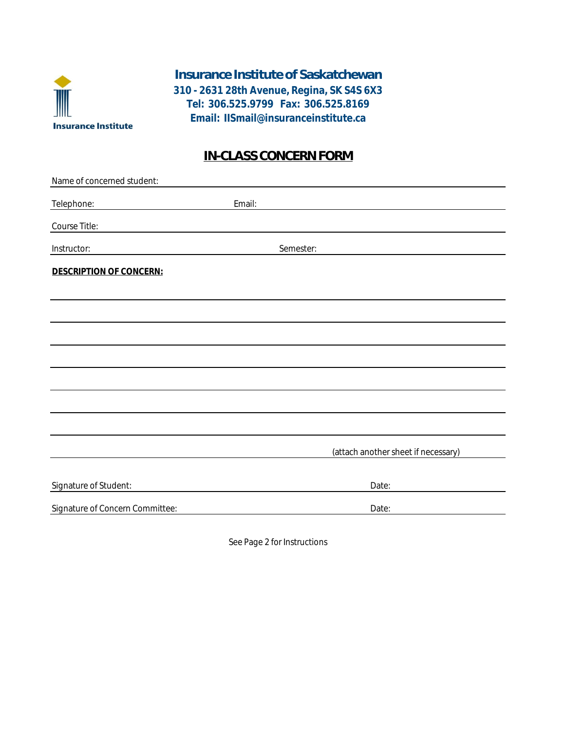

**Email: IISmail@insuranceinstitute.ca Tel: 306.525.9799 Fax: 306.525.8169** Insurance Institute of Saskatchewan **310 - 2631 28th Avenue, Regina, SK S4S 6X3**

# IN-CLASS CONCERN FORM

| Name of concerned student:      |                                     |
|---------------------------------|-------------------------------------|
| Telephone:                      | Email:                              |
| Course Title:                   |                                     |
| Instructor:                     | Semester:                           |
| DESCRIPTION OF CONCERN:         |                                     |
|                                 |                                     |
|                                 |                                     |
|                                 |                                     |
|                                 |                                     |
|                                 |                                     |
|                                 |                                     |
|                                 |                                     |
|                                 | (attach another sheet if necessary) |
|                                 |                                     |
| Signature of Student:           | Date:                               |
| Signature of Concern Committee: | Date:                               |
|                                 |                                     |

See Page 2 for Instructions